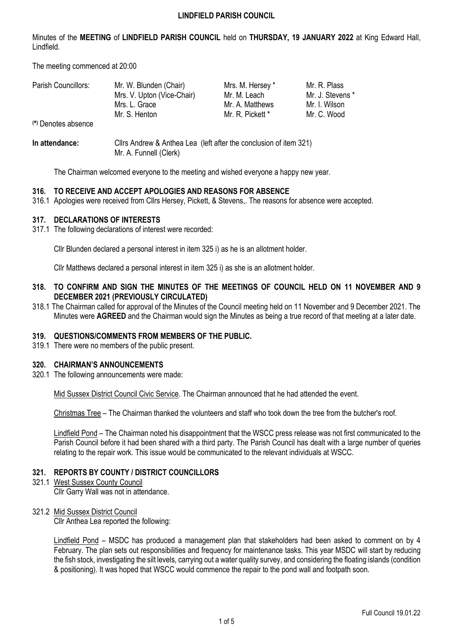Minutes of the **MEETING** of **LINDFIELD PARISH COUNCIL** held on **THURSDAY, 19 JANUARY 2022** at King Edward Hall, Lindfield.

The meeting commenced at 20:00

| Parish Councillors: | Mr. W. Blunden (Chair)     | Mrs. M. Hersey * | Mr. R. Plass     |
|---------------------|----------------------------|------------------|------------------|
|                     | Mrs. V. Upton (Vice-Chair) | Mr. M. Leach     | Mr. J. Stevens * |
|                     | Mrs. L. Grace              | Mr. A. Matthews  | Mr. I. Wilson    |
|                     | Mr. S. Henton              | Mr. R. Pickett * | Mr. C. Wood      |
| (*) Denotes absence |                            |                  |                  |

### **In attendance:** Cllrs Andrew & Anthea Lea (left after the conclusion of item 321) Mr. A. Funnell (Clerk)

The Chairman welcomed everyone to the meeting and wished everyone a happy new year.

# **316. TO RECEIVE AND ACCEPT APOLOGIES AND REASONS FOR ABSENCE**

316.1 Apologies were received from Cllrs Hersey, Pickett, & Stevens,. The reasons for absence were accepted.

### **317. DECLARATIONS OF INTERESTS**

317.1 The following declarations of interest were recorded:

Cllr Blunden declared a personal interest in item 325 i) as he is an allotment holder.

Cllr Matthews declared a personal interest in item 325 i) as she is an allotment holder.

### **318. TO CONFIRM AND SIGN THE MINUTES OF THE MEETINGS OF COUNCIL HELD ON 11 NOVEMBER AND 9 DECEMBER 2021 (PREVIOUSLY CIRCULATED)**

318.1 The Chairman called for approval of the Minutes of the Council meeting held on 11 November and 9 December 2021. The Minutes were **AGREED** and the Chairman would sign the Minutes as being a true record of that meeting at a later date.

#### **319. QUESTIONS/COMMENTS FROM MEMBERS OF THE PUBLIC.**

319.1 There were no members of the public present.

#### **320. CHAIRMAN'S ANNOUNCEMENTS**

320.1 The following announcements were made:

Mid Sussex District Council Civic Service. The Chairman announced that he had attended the event.

Christmas Tree – The Chairman thanked the volunteers and staff who took down the tree from the butcher's roof.

Lindfield Pond – The Chairman noted his disappointment that the WSCC press release was not first communicated to the Parish Council before it had been shared with a third party. The Parish Council has dealt with a large number of queries relating to the repair work. This issue would be communicated to the relevant individuals at WSCC.

## **321. REPORTS BY COUNTY / DISTRICT COUNCILLORS**

321.1 West Sussex County Council

Cllr Garry Wall was not in attendance.

## 321.2 Mid Sussex District Council

Cllr Anthea Lea reported the following:

Lindfield Pond – MSDC has produced a management plan that stakeholders had been asked to comment on by 4 February. The plan sets out responsibilities and frequency for maintenance tasks. This year MSDC will start by reducing the fish stock, investigating the silt levels, carrying out a water quality survey, and considering the floating islands (condition & positioning). It was hoped that WSCC would commence the repair to the pond wall and footpath soon.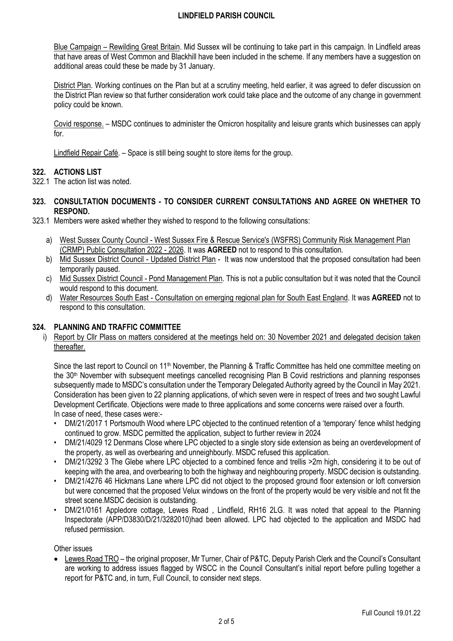Blue Campaign – Rewilding Great Britain. Mid Sussex will be continuing to take part in this campaign. In Lindfield areas that have areas of West Common and Blackhill have been included in the scheme. If any members have a suggestion on additional areas could these be made by 31 January.

District Plan. Working continues on the Plan but at a scrutiny meeting, held earlier, it was agreed to defer discussion on the District Plan review so that further consideration work could take place and the outcome of any change in government policy could be known.

Covid response. – MSDC continues to administer the Omicron hospitality and leisure grants which businesses can apply for.

Lindfield Repair Café. – Space is still being sought to store items for the group.

## **322. ACTIONS LIST**

- 322.1 The action list was noted.
- **323. CONSULTATION DOCUMENTS - TO CONSIDER CURRENT CONSULTATIONS AND AGREE ON WHETHER TO RESPOND.**
- 323.1 Members were asked whether they wished to respond to the following consultations:
	- a) West Sussex County Council West Sussex Fire & Rescue Service's (WSFRS) Community Risk Management Plan (CRMP) Public Consultation 2022 - 2026. It was **AGREED** not to respond to this consultation.
	- b) Mid Sussex District Council Updated District Plan It was now understood that the proposed consultation had been temporarily paused.
	- c) Mid Sussex District Council Pond Management Plan. This is not a public consultation but it was noted that the Council would respond to this document.
	- d) Water Resources South East Consultation on emerging regional plan for South East England. It was **AGREED** not to respond to this consultation.

## **324. PLANNING AND TRAFFIC COMMITTEE**

i) Report by Cllr Plass on matters considered at the meetings held on: 30 November 2021 and delegated decision taken thereafter.

Since the last report to Council on 11<sup>th</sup> November, the Planning & Traffic Committee has held one committee meeting on the 30th November with subsequent meetings cancelled recognising Plan B Covid restrictions and planning responses subsequently made to MSDC's consultation under the Temporary Delegated Authority agreed by the Council in May 2021. Consideration has been given to 22 planning applications, of which seven were in respect of trees and two sought Lawful Development Certificate. Objections were made to three applications and some concerns were raised over a fourth. In case of need, these cases were:-

- DM/21/2017 1 Portsmouth Wood where LPC objected to the continued retention of a 'temporary' fence whilst hedging continued to grow. MSDC permitted the application, subject to further review in 2024
- DM/21/4029 12 Denmans Close where LPC objected to a single story side extension as being an overdevelopment of the property, as well as overbearing and unneighbourly. MSDC refused this application.
- DM/21/3292 3 The Glebe where LPC objected to a combined fence and trellis >2m high, considering it to be out of keeping with the area, and overbearing to both the highway and neighbouring property. MSDC decision is outstanding.
- DM/21/4276 46 Hickmans Lane where LPC did not object to the proposed ground floor extension or loft conversion but were concerned that the proposed Velux windows on the front of the property would be very visible and not fit the street scene.MSDC decision is outstanding.
- DM/21/0161 Appledore cottage, Lewes Road , Lindfield, RH16 2LG. It was noted that appeal to the Planning Inspectorate (APP/D3830/D/21/3282010)had been allowed. LPC had objected to the application and MSDC had refused permission.

Other issues

• Lewes Road TRO – the original proposer, Mr Turner, Chair of P&TC, Deputy Parish Clerk and the Council's Consultant are working to address issues flagged by WSCC in the Council Consultant's initial report before pulling together a report for P&TC and, in turn, Full Council, to consider next steps.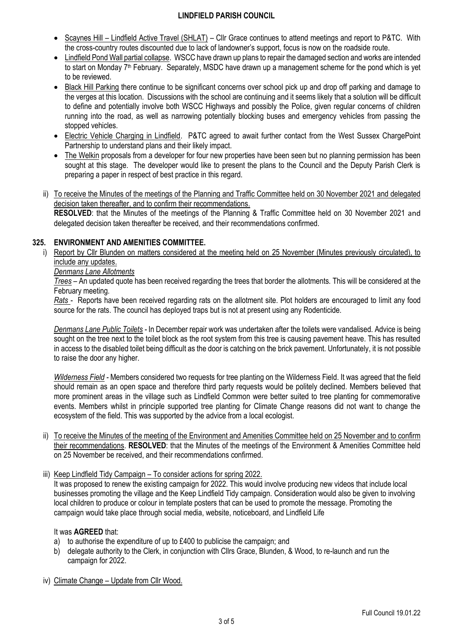- Scaynes Hill Lindfield Active Travel (SHLAT) Cllr Grace continues to attend meetings and report to P&TC. With the cross-country routes discounted due to lack of landowner's support, focus is now on the roadside route.
- Lindfield Pond Wall partial collapse. WSCC have drawn up plans to repair the damaged section and works are intended to start on Monday 7<sup>th</sup> February. Separately, MSDC have drawn up a management scheme for the pond which is yet to be reviewed.
- Black Hill Parking there continue to be significant concerns over school pick up and drop off parking and damage to the verges at this location. Discussions with the school are continuing and it seems likely that a solution will be difficult to define and potentially involve both WSCC Highways and possibly the Police, given regular concerns of children running into the road, as well as narrowing potentially blocking buses and emergency vehicles from passing the stopped vehicles.
- Electric Vehicle Charging in Lindfield. P&TC agreed to await further contact from the West Sussex ChargePoint Partnership to understand plans and their likely impact.
- The Welkin proposals from a developer for four new properties have been seen but no planning permission has been sought at this stage. The developer would like to present the plans to the Council and the Deputy Parish Clerk is preparing a paper in respect of best practice in this regard.
- ii) To receive the Minutes of the meetings of the Planning and Traffic Committee held on 30 November 2021 and delegated decision taken thereafter, and to confirm their recommendations. **RESOLVED**: that the Minutes of the meetings of the Planning & Traffic Committee held on 30 November 2021 and

delegated decision taken thereafter be received, and their recommendations confirmed.

# **325. ENVIRONMENT AND AMENITIES COMMITTEE.**

i) Report by Cllr Blunden on matters considered at the meeting held on 25 November (Minutes previously circulated), to include any updates.

## *Denmans Lane Allotments*

*Trees* – An updated quote has been received regarding the trees that border the allotments. This will be considered at the February meeting.

*Rats* - Reports have been received regarding rats on the allotment site. Plot holders are encouraged to limit any food source for the rats. The council has deployed traps but is not at present using any Rodenticide.

*Denmans Lane Public Toilets -* In December repair work was undertaken after the toilets were vandalised. Advice is being sought on the tree next to the toilet block as the root system from this tree is causing pavement heave. This has resulted in access to the disabled toilet being difficult as the door is catching on the brick pavement. Unfortunately, it is not possible to raise the door any higher.

*Wilderness Field -* Members considered two requests for tree planting on the Wilderness Field. It was agreed that the field should remain as an open space and therefore third party requests would be politely declined. Members believed that more prominent areas in the village such as Lindfield Common were better suited to tree planting for commemorative events. Members whilst in principle supported tree planting for Climate Change reasons did not want to change the ecosystem of the field. This was supported by the advice from a local ecologist.

ii) To receive the Minutes of the meeting of the Environment and Amenities Committee held on 25 November and to confirm their recommendations. **RESOLVED**: that the Minutes of the meetings of the Environment & Amenities Committee held on 25 November be received, and their recommendations confirmed.

#### iii) Keep Lindfield Tidy Campaign – To consider actions for spring 2022.

It was proposed to renew the existing campaign for 2022. This would involve producing new videos that include local businesses promoting the village and the Keep Lindfield Tidy campaign. Consideration would also be given to involving local children to produce or colour in template posters that can be used to promote the message. Promoting the campaign would take place through social media, website, noticeboard, and Lindfield Life

## It was **AGREED** that:

- a) to authorise the expenditure of up to £400 to publicise the campaign; and
- b) delegate authority to the Clerk, in conjunction with Cllrs Grace, Blunden, & Wood, to re-launch and run the campaign for 2022.
- iv) Climate Change Update from Cllr Wood.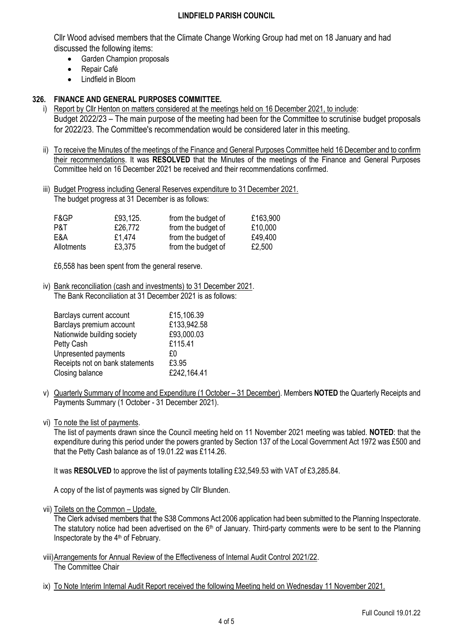Cllr Wood advised members that the Climate Change Working Group had met on 18 January and had discussed the following items:

- Garden Champion proposals
- Repair Café
- Lindfield in Bloom

# **326. FINANCE AND GENERAL PURPOSES COMMITTEE.**

- i) Report by Cllr Henton on matters considered at the meetings held on 16 December 2021, to include: Budget 2022/23 – The main purpose of the meeting had been for the Committee to scrutinise budget proposals for 2022/23. The Committee's recommendation would be considered later in this meeting.
- ii) To receive the Minutes of the meetings of the Finance and General Purposes Committee held 16 December and to confirm their recommendations. It was **RESOLVED** that the Minutes of the meetings of the Finance and General Purposes Committee held on 16 December 2021 be received and their recommendations confirmed.
- iii) Budget Progress including General Reserves expenditure to 31 December 2021. The budget progress at 31 December is as follows:

| F&GP       | £93,125. | from the budget of | £163,900 |
|------------|----------|--------------------|----------|
| P&T        | £26,772  | from the budget of | £10,000  |
| E&A        | £1,474   | from the budget of | £49,400  |
| Allotments | £3,375   | from the budget of | £2,500   |

£6,558 has been spent from the general reserve.

iv) Bank reconciliation (cash and investments) to 31 December 2021. The Bank Reconciliation at 31 December 2021 is as follows:

| Barclays current account        | £15,106.39  |
|---------------------------------|-------------|
| Barclays premium account        | £133,942.58 |
| Nationwide building society     | £93,000.03  |
| Petty Cash                      | £115.41     |
| Unpresented payments            | £٥          |
| Receipts not on bank statements | £3.95       |
| Closing balance                 | £242,164.41 |

v) Quarterly Summary of Income and Expenditure (1 October – 31 December). Members **NOTED** the Quarterly Receipts and Payments Summary (1 October - 31 December 2021).

vi) To note the list of payments.

The list of payments drawn since the Council meeting held on 11 November 2021 meeting was tabled. **NOTED**: that the expenditure during this period under the powers granted by Section 137 of the Local Government Act 1972 was £500 and that the Petty Cash balance as of 19.01.22 was £114.26.

It was **RESOLVED** to approve the list of payments totalling £32,549.53 with VAT of £3,285.84.

A copy of the list of payments was signed by Cllr Blunden.

vii) Toilets on the Common – Update.

The Clerk advised members that the S38 Commons Act 2006 application had been submitted to the Planning Inspectorate. The statutory notice had been advertised on the 6<sup>th</sup> of January. Third-party comments were to be sent to the Planning Inspectorate by the 4<sup>th</sup> of February.

- viii)Arrangements for Annual Review of the Effectiveness of Internal Audit Control 2021/22. The Committee Chair
- ix) To Note Interim Internal Audit Report received the following Meeting held on Wednesday 11 November 2021.